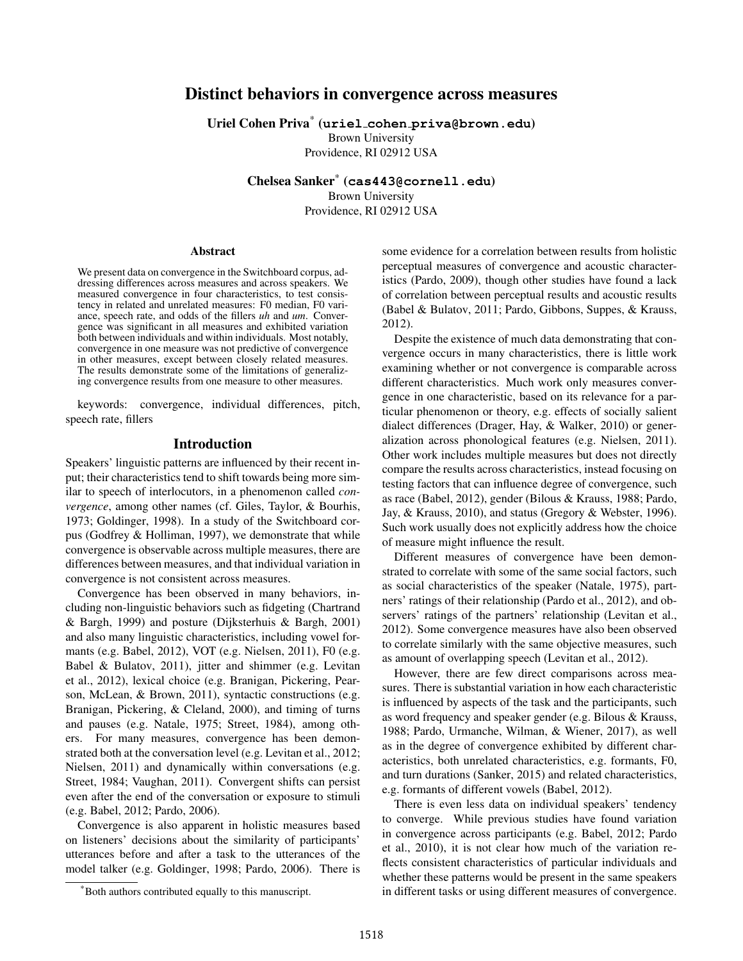# Distinct behaviors in convergence across measures

Uriel Cohen Priva\* (**uriel cohen [priva@brown.edu](uriel_cohen_priva@brown.edu)**)

Brown University Providence, RI 02912 USA

Chelsea Sanker\* (**<cas443@cornell.edu>**) Brown University Providence, RI 02912 USA

#### Abstract

We present data on convergence in the Switchboard corpus, addressing differences across measures and across speakers. We measured convergence in four characteristics, to test consistency in related and unrelated measures: F0 median, F0 variance, speech rate, and odds of the fillers *uh* and *um*. Convergence was significant in all measures and exhibited variation both between individuals and within individuals. Most notably, convergence in one measure was not predictive of convergence in other measures, except between closely related measures. The results demonstrate some of the limitations of generalizing convergence results from one measure to other measures.

keywords: convergence, individual differences, pitch, speech rate, fillers

### Introduction

Speakers' linguistic patterns are influenced by their recent input; their characteristics tend to shift towards being more similar to speech of interlocutors, in a phenomenon called *convergence*, among other names (cf. [Giles, Taylor, & Bourhis,](#page-4-0) [1973;](#page-4-0) [Goldinger, 1998\)](#page-5-0). In a study of the Switchboard corpus [\(Godfrey & Holliman, 1997\)](#page-4-1), we demonstrate that while convergence is observable across multiple measures, there are differences between measures, and that individual variation in convergence is not consistent across measures.

Convergence has been observed in many behaviors, including non-linguistic behaviors such as fidgeting [\(Chartrand](#page-4-2) [& Bargh, 1999\)](#page-4-2) and posture [\(Dijksterhuis & Bargh, 2001\)](#page-4-3) and also many linguistic characteristics, including vowel formants (e.g. [Babel, 2012\)](#page-4-4), VOT (e.g. [Nielsen, 2011\)](#page-5-1), F0 (e.g. [Babel & Bulatov, 2011\)](#page-4-5), jitter and shimmer (e.g. [Levitan](#page-5-2) [et al., 2012\)](#page-5-2), lexical choice (e.g. [Branigan, Pickering, Pear](#page-4-6)[son, McLean, & Brown, 2011\)](#page-4-6), syntactic constructions (e.g. [Branigan, Pickering, & Cleland, 2000\)](#page-4-7), and timing of turns and pauses (e.g. [Natale, 1975;](#page-5-3) [Street, 1984\)](#page-5-4), among others. For many measures, convergence has been demonstrated both at the conversation level (e.g. [Levitan et al., 2012;](#page-5-2) [Nielsen, 2011\)](#page-5-1) and dynamically within conversations (e.g. [Street, 1984;](#page-5-4) [Vaughan, 2011\)](#page-5-5). Convergent shifts can persist even after the end of the conversation or exposure to stimuli (e.g. [Babel, 2012;](#page-4-4) [Pardo, 2006\)](#page-5-6).

Convergence is also apparent in holistic measures based on listeners' decisions about the similarity of participants' utterances before and after a task to the utterances of the model talker (e.g. [Goldinger, 1998;](#page-5-0) [Pardo, 2006\)](#page-5-6). There is some evidence for a correlation between results from holistic perceptual measures of convergence and acoustic characteristics [\(Pardo, 2009\)](#page-5-7), though other studies have found a lack of correlation between perceptual results and acoustic results [\(Babel & Bulatov, 2011;](#page-4-5) [Pardo, Gibbons, Suppes, & Krauss,](#page-5-8) [2012\)](#page-5-8).

Despite the existence of much data demonstrating that convergence occurs in many characteristics, there is little work examining whether or not convergence is comparable across different characteristics. Much work only measures convergence in one characteristic, based on its relevance for a particular phenomenon or theory, e.g. effects of socially salient dialect differences [\(Drager, Hay, & Walker, 2010\)](#page-4-8) or generalization across phonological features (e.g. [Nielsen, 2011\)](#page-5-1). Other work includes multiple measures but does not directly compare the results across characteristics, instead focusing on testing factors that can influence degree of convergence, such as race [\(Babel, 2012\)](#page-4-4), gender [\(Bilous & Krauss, 1988;](#page-4-9) [Pardo,](#page-5-9) [Jay, & Krauss, 2010\)](#page-5-9), and status [\(Gregory & Webster, 1996\)](#page-5-10). Such work usually does not explicitly address how the choice of measure might influence the result.

Different measures of convergence have been demonstrated to correlate with some of the same social factors, such as social characteristics of the speaker [\(Natale, 1975\)](#page-5-3), partners' ratings of their relationship [\(Pardo et al., 2012\)](#page-5-8), and observers' ratings of the partners' relationship [\(Levitan et al.,](#page-5-2) [2012\)](#page-5-2). Some convergence measures have also been observed to correlate similarly with the same objective measures, such as amount of overlapping speech [\(Levitan et al., 2012\)](#page-5-2).

However, there are few direct comparisons across measures. There is substantial variation in how each characteristic is influenced by aspects of the task and the participants, such as word frequency and speaker gender (e.g. [Bilous & Krauss,](#page-4-9) [1988;](#page-4-9) [Pardo, Urmanche, Wilman, & Wiener, 2017\)](#page-5-11), as well as in the degree of convergence exhibited by different characteristics, both unrelated characteristics, e.g. formants, F0, and turn durations [\(Sanker, 2015\)](#page-5-12) and related characteristics, e.g. formants of different vowels [\(Babel, 2012\)](#page-4-4).

There is even less data on individual speakers' tendency to converge. While previous studies have found variation in convergence across participants (e.g. [Babel, 2012;](#page-4-4) [Pardo](#page-5-9) [et al., 2010\)](#page-5-9), it is not clear how much of the variation reflects consistent characteristics of particular individuals and whether these patterns would be present in the same speakers in different tasks or using different measures of convergence.

<sup>\*</sup>Both authors contributed equally to this manuscript.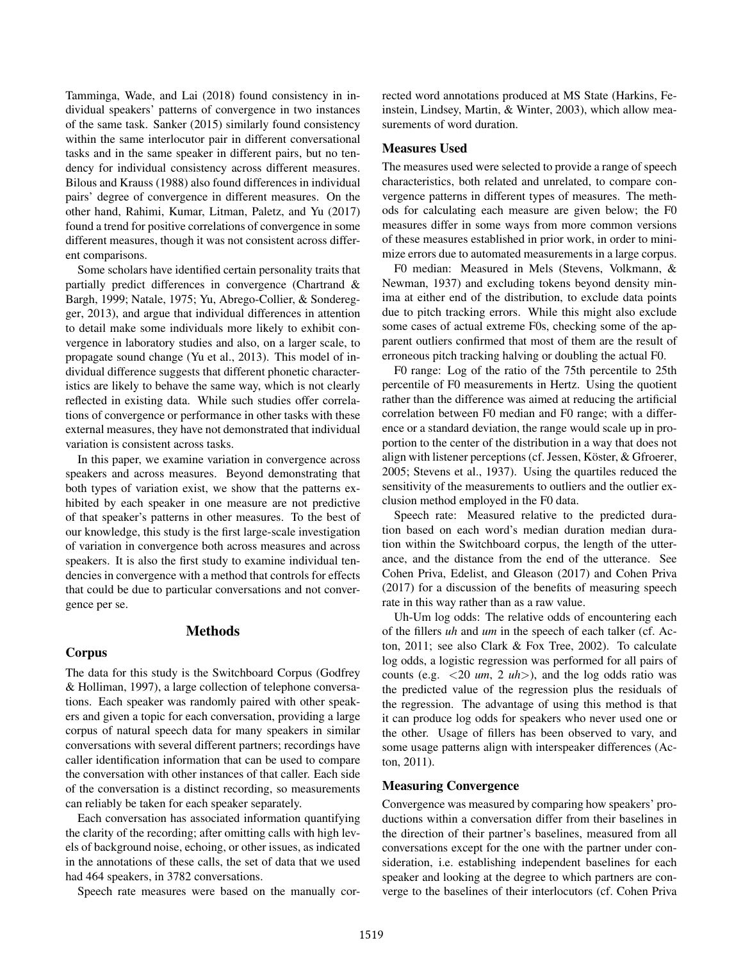[Tamminga, Wade, and Lai](#page-5-13) [\(2018\)](#page-5-13) found consistency in individual speakers' patterns of convergence in two instances of the same task. [Sanker](#page-5-12) [\(2015\)](#page-5-12) similarly found consistency within the same interlocutor pair in different conversational tasks and in the same speaker in different pairs, but no tendency for individual consistency across different measures. [Bilous and Krauss](#page-4-9) [\(1988\)](#page-4-9) also found differences in individual pairs' degree of convergence in different measures. On the other hand, [Rahimi, Kumar, Litman, Paletz, and Yu](#page-5-14) [\(2017\)](#page-5-14) found a trend for positive correlations of convergence in some different measures, though it was not consistent across different comparisons.

Some scholars have identified certain personality traits that partially predict differences in convergence [\(Chartrand &](#page-4-2) [Bargh, 1999;](#page-4-2) [Natale, 1975;](#page-5-3) [Yu, Abrego-Collier, & Sondereg](#page-5-15)[ger, 2013\)](#page-5-15), and argue that individual differences in attention to detail make some individuals more likely to exhibit convergence in laboratory studies and also, on a larger scale, to propagate sound change [\(Yu et al., 2013\)](#page-5-15). This model of individual difference suggests that different phonetic characteristics are likely to behave the same way, which is not clearly reflected in existing data. While such studies offer correlations of convergence or performance in other tasks with these external measures, they have not demonstrated that individual variation is consistent across tasks.

In this paper, we examine variation in convergence across speakers and across measures. Beyond demonstrating that both types of variation exist, we show that the patterns exhibited by each speaker in one measure are not predictive of that speaker's patterns in other measures. To the best of our knowledge, this study is the first large-scale investigation of variation in convergence both across measures and across speakers. It is also the first study to examine individual tendencies in convergence with a method that controls for effects that could be due to particular conversations and not convergence per se.

#### Methods

#### Corpus

The data for this study is the Switchboard Corpus [\(Godfrey](#page-4-1) [& Holliman, 1997\)](#page-4-1), a large collection of telephone conversations. Each speaker was randomly paired with other speakers and given a topic for each conversation, providing a large corpus of natural speech data for many speakers in similar conversations with several different partners; recordings have caller identification information that can be used to compare the conversation with other instances of that caller. Each side of the conversation is a distinct recording, so measurements can reliably be taken for each speaker separately.

Each conversation has associated information quantifying the clarity of the recording; after omitting calls with high levels of background noise, echoing, or other issues, as indicated in the annotations of these calls, the set of data that we used had 464 speakers, in 3782 conversations.

Speech rate measures were based on the manually cor-

rected word annotations produced at MS State [\(Harkins, Fe](#page-5-16)[instein, Lindsey, Martin, & Winter, 2003\)](#page-5-16), which allow measurements of word duration.

### Measures Used

The measures used were selected to provide a range of speech characteristics, both related and unrelated, to compare convergence patterns in different types of measures. The methods for calculating each measure are given below; the F0 measures differ in some ways from more common versions of these measures established in prior work, in order to minimize errors due to automated measurements in a large corpus.

F0 median: Measured in Mels [\(Stevens, Volkmann, &](#page-5-17) [Newman, 1937\)](#page-5-17) and excluding tokens beyond density minima at either end of the distribution, to exclude data points due to pitch tracking errors. While this might also exclude some cases of actual extreme F0s, checking some of the apparent outliers confirmed that most of them are the result of erroneous pitch tracking halving or doubling the actual F0.

F0 range: Log of the ratio of the 75th percentile to 25th percentile of F0 measurements in Hertz. Using the quotient rather than the difference was aimed at reducing the artificial correlation between F0 median and F0 range; with a difference or a standard deviation, the range would scale up in proportion to the center of the distribution in a way that does not align with listener perceptions (cf. Jessen, Köster,  $\&$  Gfroerer, [2005;](#page-5-18) [Stevens et al., 1937\)](#page-5-17). Using the quartiles reduced the sensitivity of the measurements to outliers and the outlier exclusion method employed in the F0 data.

Speech rate: Measured relative to the predicted duration based on each word's median duration median duration within the Switchboard corpus, the length of the utterance, and the distance from the end of the utterance. See [Cohen Priva, Edelist, and Gleason](#page-4-10) [\(2017\)](#page-4-10) and [Cohen Priva](#page-4-11) [\(2017\)](#page-4-11) for a discussion of the benefits of measuring speech rate in this way rather than as a raw value.

Uh-Um log odds: The relative odds of encountering each of the fillers *uh* and *um* in the speech of each talker (cf. [Ac](#page-4-12)[ton, 2011;](#page-4-12) see also [Clark & Fox Tree, 2002\)](#page-4-13). To calculate log odds, a logistic regression was performed for all pairs of counts (e.g. <20 *um*, 2 *uh*>), and the log odds ratio was the predicted value of the regression plus the residuals of the regression. The advantage of using this method is that it can produce log odds for speakers who never used one or the other. Usage of fillers has been observed to vary, and some usage patterns align with interspeaker differences [\(Ac](#page-4-12)[ton, 2011\)](#page-4-12).

### Measuring Convergence

Convergence was measured by comparing how speakers' productions within a conversation differ from their baselines in the direction of their partner's baselines, measured from all conversations except for the one with the partner under consideration, i.e. establishing independent baselines for each speaker and looking at the degree to which partners are converge to the baselines of their interlocutors (cf. [Cohen Priva](#page-4-10)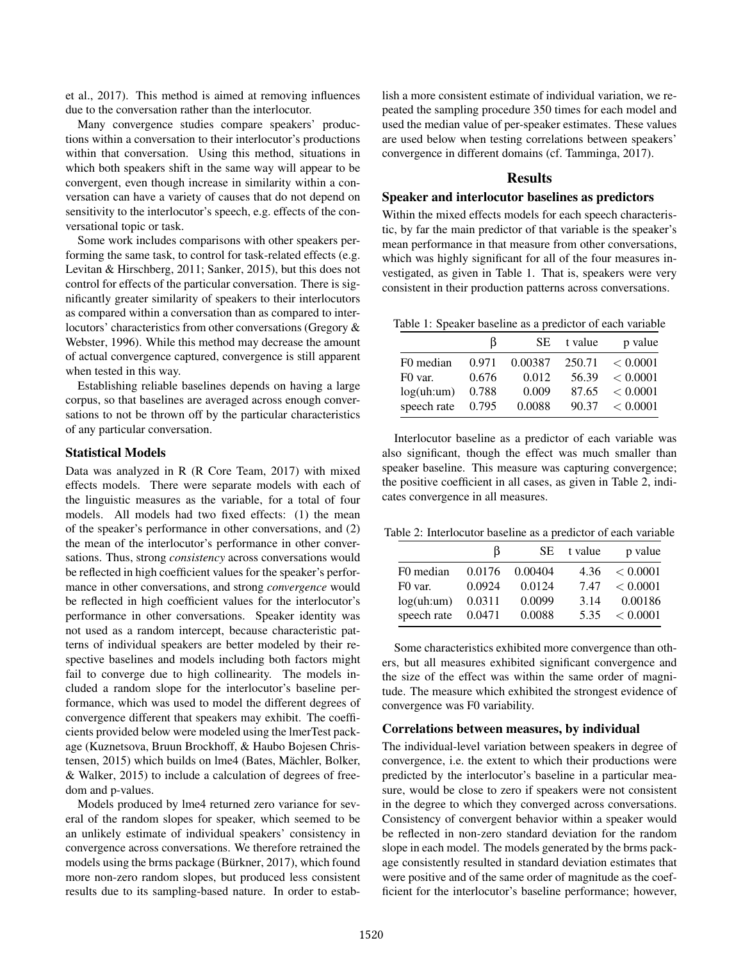[et al., 2017\)](#page-4-10). This method is aimed at removing influences due to the conversation rather than the interlocutor.

Many convergence studies compare speakers' productions within a conversation to their interlocutor's productions within that conversation. Using this method, situations in which both speakers shift in the same way will appear to be convergent, even though increase in similarity within a conversation can have a variety of causes that do not depend on sensitivity to the interlocutor's speech, e.g. effects of the conversational topic or task.

Some work includes comparisons with other speakers performing the same task, to control for task-related effects (e.g. [Levitan & Hirschberg, 2011;](#page-5-19) [Sanker, 2015\)](#page-5-12), but this does not control for effects of the particular conversation. There is significantly greater similarity of speakers to their interlocutors as compared within a conversation than as compared to interlocutors' characteristics from other conversations [\(Gregory &](#page-5-10) [Webster, 1996\)](#page-5-10). While this method may decrease the amount of actual convergence captured, convergence is still apparent when tested in this way.

Establishing reliable baselines depends on having a large corpus, so that baselines are averaged across enough conversations to not be thrown off by the particular characteristics of any particular conversation.

### Statistical Models

Data was analyzed in R [\(R Core Team, 2017\)](#page-5-20) with mixed effects models. There were separate models with each of the linguistic measures as the variable, for a total of four models. All models had two fixed effects: (1) the mean of the speaker's performance in other conversations, and (2) the mean of the interlocutor's performance in other conversations. Thus, strong *consistency* across conversations would be reflected in high coefficient values for the speaker's performance in other conversations, and strong *convergence* would be reflected in high coefficient values for the interlocutor's performance in other conversations. Speaker identity was not used as a random intercept, because characteristic patterns of individual speakers are better modeled by their respective baselines and models including both factors might fail to converge due to high collinearity. The models included a random slope for the interlocutor's baseline performance, which was used to model the different degrees of convergence different that speakers may exhibit. The coefficients provided below were modeled using the lmerTest package [\(Kuznetsova, Bruun Brockhoff, & Haubo Bojesen Chris](#page-5-21)[tensen, 2015\)](#page-5-21) which builds on lme4 (Bates, Mächler, Bolker, [& Walker, 2015\)](#page-4-14) to include a calculation of degrees of freedom and p-values.

Models produced by lme4 returned zero variance for several of the random slopes for speaker, which seemed to be an unlikely estimate of individual speakers' consistency in convergence across conversations. We therefore retrained the models using the brms package (Bürkner,  $2017$ ), which found more non-zero random slopes, but produced less consistent results due to its sampling-based nature. In order to establish a more consistent estimate of individual variation, we repeated the sampling procedure 350 times for each model and used the median value of per-speaker estimates. These values are used below when testing correlations between speakers' convergence in different domains (cf. [Tamminga, 2017\)](#page-5-22).

#### Results

#### Speaker and interlocutor baselines as predictors

Within the mixed effects models for each speech characteristic, by far the main predictor of that variable is the speaker's mean performance in that measure from other conversations, which was highly significant for all of the four measures investigated, as given in Table 1. That is, speakers were very consistent in their production patterns across conversations.

Table 1: Speaker baseline as a predictor of each variable

|                     | B     | SE.     | t value | p value  |
|---------------------|-------|---------|---------|----------|
| F0 median           | 0.971 | 0.00387 | 250.71  | < 0.0001 |
| F <sub>0</sub> var. | 0.676 | 0.012   | 56.39   | < 0.0001 |
| log(uh:um)          | 0.788 | 0.009   | 87.65   | < 0.0001 |
| speech rate         | 0.795 | 0.0088  | 90.37   | < 0.0001 |

Interlocutor baseline as a predictor of each variable was also significant, though the effect was much smaller than speaker baseline. This measure was capturing convergence; the positive coefficient in all cases, as given in Table 2, indicates convergence in all measures.

Table 2: Interlocutor baseline as a predictor of each variable

|             | B      |         | SE t value | p value  |
|-------------|--------|---------|------------|----------|
| F0 median   | 0.0176 | 0.00404 | 4.36       | < 0.0001 |
| F0 var.     | 0.0924 | 0.0124  | 7.47       | < 0.0001 |
| log(uh:um)  | 0.0311 | 0.0099  | 3.14       | 0.00186  |
| speech rate | 0.0471 | 0.0088  | 5.35       | < 0.0001 |

Some characteristics exhibited more convergence than others, but all measures exhibited significant convergence and the size of the effect was within the same order of magnitude. The measure which exhibited the strongest evidence of convergence was F0 variability.

#### Correlations between measures, by individual

The individual-level variation between speakers in degree of convergence, i.e. the extent to which their productions were predicted by the interlocutor's baseline in a particular measure, would be close to zero if speakers were not consistent in the degree to which they converged across conversations. Consistency of convergent behavior within a speaker would be reflected in non-zero standard deviation for the random slope in each model. The models generated by the brms package consistently resulted in standard deviation estimates that were positive and of the same order of magnitude as the coefficient for the interlocutor's baseline performance; however,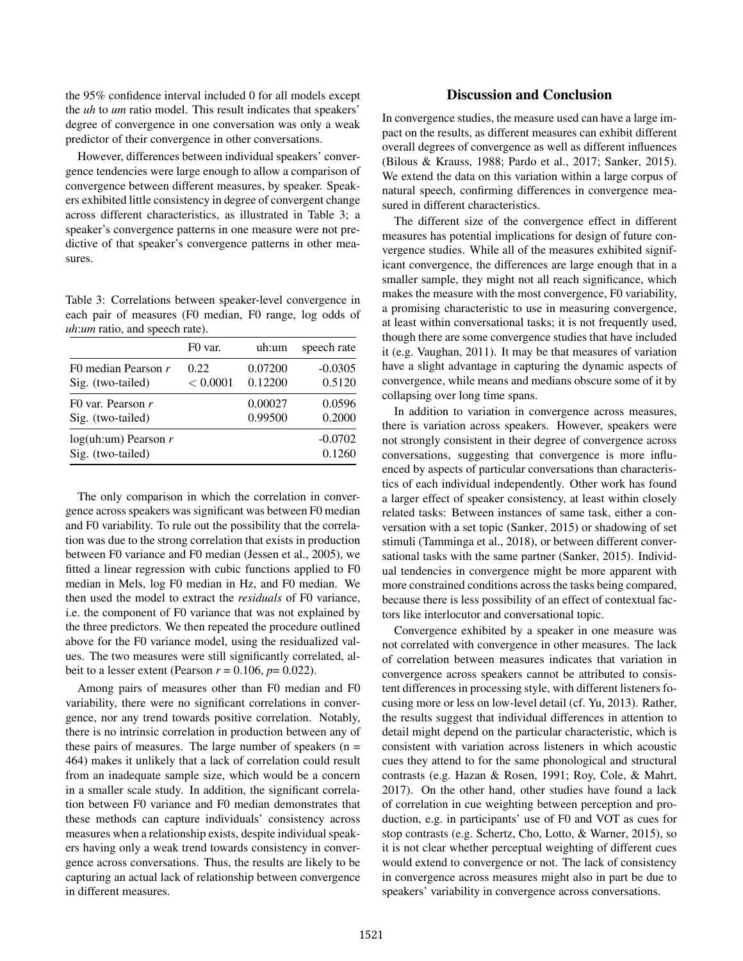the 95% confidence interval included 0 for all models except the *uh* to *um* ratio model. This result indicates that speakers' degree of convergence in one conversation was only a weak predictor of their convergence in other conversations.

However, differences between individual speakers' convergence tendencies were large enough to allow a comparison of convergence between different measures, by speaker. Speakers exhibited little consistency in degree of convergent change across different characteristics, as illustrated in Table 3; a speaker's convergence patterns in one measure were not predictive of that speaker's convergence patterns in other measures.

Table 3: Correlations between speaker-level convergence in each pair of measures (F0 median, F0 range, log odds of *uh*:*um* ratio, and speech rate).

|                                             | F <sub>0</sub> var. | uh:um   | speech rate         |
|---------------------------------------------|---------------------|---------|---------------------|
| F0 median Pearson r                         | 0.22.               | 0.07200 | $-0.0305$           |
| Sig. (two-tailed)                           | < 0.0001            | 0.12200 | 0.5120              |
| FO var. Pearson $r$                         |                     | 0.00027 | 0.0596              |
| Sig. (two-tailed)                           |                     | 0.99500 | 0.2000              |
| $log(uh:um)$ Pearson r<br>Sig. (two-tailed) |                     |         | $-0.0702$<br>0.1260 |

The only comparison in which the correlation in convergence across speakers was significant was between F0 median and F0 variability. To rule out the possibility that the correlation was due to the strong correlation that exists in production between F0 variance and F0 median [\(Jessen et al., 2005\)](#page-5-18), we fitted a linear regression with cubic functions applied to F0 median in Mels, log F0 median in Hz, and F0 median. We then used the model to extract the *residuals* of F0 variance, i.e. the component of F0 variance that was not explained by the three predictors. We then repeated the procedure outlined above for the F0 variance model, using the residualized values. The two measures were still significantly correlated, albeit to a lesser extent (Pearson  $r = 0.106$ ,  $p = 0.022$ ).

Among pairs of measures other than F0 median and F0 variability, there were no significant correlations in convergence, nor any trend towards positive correlation. Notably, there is no intrinsic correlation in production between any of these pairs of measures. The large number of speakers  $(n =$ 464) makes it unlikely that a lack of correlation could result from an inadequate sample size, which would be a concern in a smaller scale study. In addition, the significant correlation between F0 variance and F0 median demonstrates that these methods can capture individuals' consistency across measures when a relationship exists, despite individual speakers having only a weak trend towards consistency in convergence across conversations. Thus, the results are likely to be capturing an actual lack of relationship between convergence in different measures.

## Discussion and Conclusion

In convergence studies, the measure used can have a large impact on the results, as different measures can exhibit different overall degrees of convergence as well as different influences [\(Bilous & Krauss, 1988;](#page-4-9) [Pardo et al., 2017;](#page-5-11) [Sanker, 2015\)](#page-5-12). We extend the data on this variation within a large corpus of natural speech, confirming differences in convergence measured in different characteristics.

The different size of the convergence effect in different measures has potential implications for design of future convergence studies. While all of the measures exhibited significant convergence, the differences are large enough that in a smaller sample, they might not all reach significance, which makes the measure with the most convergence, F0 variability, a promising characteristic to use in measuring convergence, at least within conversational tasks; it is not frequently used, though there are some convergence studies that have included it (e.g. [Vaughan, 2011\)](#page-5-5). It may be that measures of variation have a slight advantage in capturing the dynamic aspects of convergence, while means and medians obscure some of it by collapsing over long time spans.

In addition to variation in convergence across measures, there is variation across speakers. However, speakers were not strongly consistent in their degree of convergence across conversations, suggesting that convergence is more influenced by aspects of particular conversations than characteristics of each individual independently. Other work has found a larger effect of speaker consistency, at least within closely related tasks: Between instances of same task, either a conversation with a set topic [\(Sanker, 2015\)](#page-5-12) or shadowing of set stimuli [\(Tamminga et al., 2018\)](#page-5-13), or between different conversational tasks with the same partner [\(Sanker, 2015\)](#page-5-12). Individual tendencies in convergence might be more apparent with more constrained conditions across the tasks being compared, because there is less possibility of an effect of contextual factors like interlocutor and conversational topic.

Convergence exhibited by a speaker in one measure was not correlated with convergence in other measures. The lack of correlation between measures indicates that variation in convergence across speakers cannot be attributed to consistent differences in processing style, with different listeners focusing more or less on low-level detail (cf. [Yu, 2013\)](#page-5-23). Rather, the results suggest that individual differences in attention to detail might depend on the particular characteristic, which is consistent with variation across listeners in which acoustic cues they attend to for the same phonological and structural contrasts (e.g. [Hazan & Rosen, 1991;](#page-5-24) [Roy, Cole, & Mahrt,](#page-5-25) [2017\)](#page-5-25). On the other hand, other studies have found a lack of correlation in cue weighting between perception and production, e.g. in participants' use of F0 and VOT as cues for stop contrasts (e.g. [Schertz, Cho, Lotto, & Warner, 2015\)](#page-5-26), so it is not clear whether perceptual weighting of different cues would extend to convergence or not. The lack of consistency in convergence across measures might also in part be due to speakers' variability in convergence across conversations.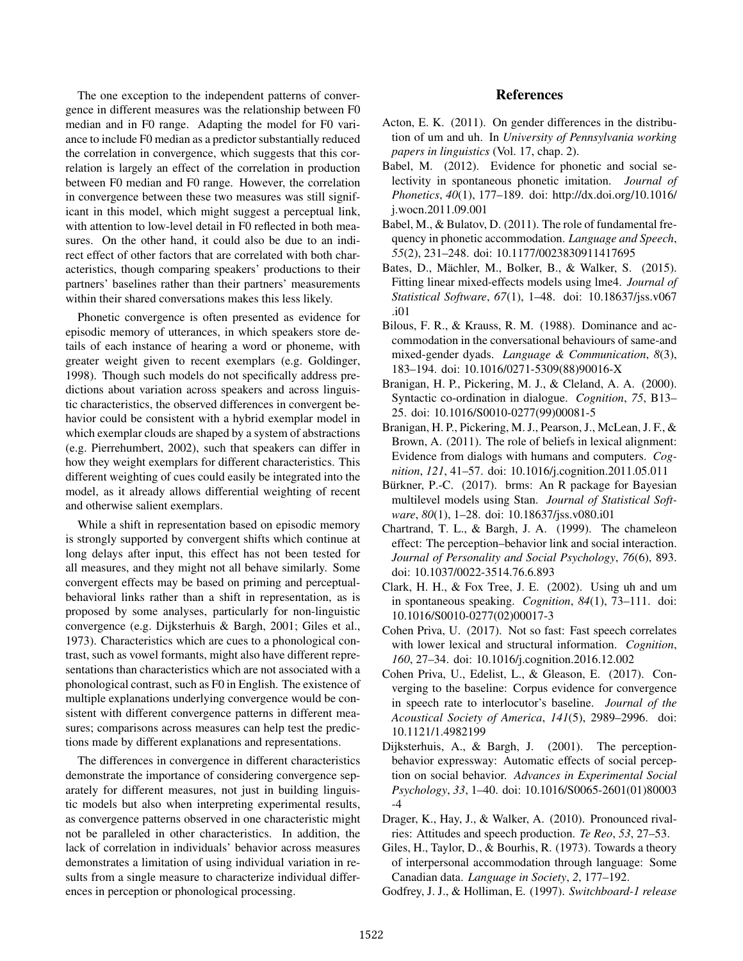The one exception to the independent patterns of convergence in different measures was the relationship between F0 median and in F0 range. Adapting the model for F0 variance to include F0 median as a predictor substantially reduced the correlation in convergence, which suggests that this correlation is largely an effect of the correlation in production between F0 median and F0 range. However, the correlation in convergence between these two measures was still significant in this model, which might suggest a perceptual link, with attention to low-level detail in F0 reflected in both measures. On the other hand, it could also be due to an indirect effect of other factors that are correlated with both characteristics, though comparing speakers' productions to their partners' baselines rather than their partners' measurements within their shared conversations makes this less likely.

Phonetic convergence is often presented as evidence for episodic memory of utterances, in which speakers store details of each instance of hearing a word or phoneme, with greater weight given to recent exemplars (e.g. [Goldinger,](#page-5-0) [1998\)](#page-5-0). Though such models do not specifically address predictions about variation across speakers and across linguistic characteristics, the observed differences in convergent behavior could be consistent with a hybrid exemplar model in which exemplar clouds are shaped by a system of abstractions (e.g. [Pierrehumbert, 2002\)](#page-5-27), such that speakers can differ in how they weight exemplars for different characteristics. This different weighting of cues could easily be integrated into the model, as it already allows differential weighting of recent and otherwise salient exemplars.

While a shift in representation based on episodic memory is strongly supported by convergent shifts which continue at long delays after input, this effect has not been tested for all measures, and they might not all behave similarly. Some convergent effects may be based on priming and perceptualbehavioral links rather than a shift in representation, as is proposed by some analyses, particularly for non-linguistic convergence (e.g. [Dijksterhuis & Bargh, 2001;](#page-4-3) [Giles et al.,](#page-4-0) [1973\)](#page-4-0). Characteristics which are cues to a phonological contrast, such as vowel formants, might also have different representations than characteristics which are not associated with a phonological contrast, such as F0 in English. The existence of multiple explanations underlying convergence would be consistent with different convergence patterns in different measures; comparisons across measures can help test the predictions made by different explanations and representations.

The differences in convergence in different characteristics demonstrate the importance of considering convergence separately for different measures, not just in building linguistic models but also when interpreting experimental results, as convergence patterns observed in one characteristic might not be paralleled in other characteristics. In addition, the lack of correlation in individuals' behavior across measures demonstrates a limitation of using individual variation in results from a single measure to characterize individual differences in perception or phonological processing.

### References

- <span id="page-4-12"></span>Acton, E. K. (2011). On gender differences in the distribution of um and uh. In *University of Pennsylvania working papers in linguistics* (Vol. 17, chap. 2).
- <span id="page-4-4"></span>Babel, M. (2012). Evidence for phonetic and social selectivity in spontaneous phonetic imitation. *Journal of Phonetics*, *40*(1), 177–189. doi: http://dx.doi.org/10.1016/ j.wocn.2011.09.001
- <span id="page-4-5"></span>Babel, M., & Bulatov, D. (2011). The role of fundamental frequency in phonetic accommodation. *Language and Speech*, *55*(2), 231–248. doi: 10.1177/0023830911417695
- <span id="page-4-14"></span>Bates, D., Mächler, M., Bolker, B., & Walker, S. (2015). Fitting linear mixed-effects models using lme4. *Journal of Statistical Software*, *67*(1), 1–48. doi: 10.18637/jss.v067 .i01
- <span id="page-4-9"></span>Bilous, F. R., & Krauss, R. M. (1988). Dominance and accommodation in the conversational behaviours of same-and mixed-gender dyads. *Language & Communication*, *8*(3), 183–194. doi: 10.1016/0271-5309(88)90016-X
- <span id="page-4-7"></span>Branigan, H. P., Pickering, M. J., & Cleland, A. A. (2000). Syntactic co-ordination in dialogue. *Cognition*, *75*, B13– 25. doi: 10.1016/S0010-0277(99)00081-5
- <span id="page-4-6"></span>Branigan, H. P., Pickering, M. J., Pearson, J., McLean, J. F., & Brown, A. (2011). The role of beliefs in lexical alignment: Evidence from dialogs with humans and computers. *Cognition*, *121*, 41–57. doi: 10.1016/j.cognition.2011.05.011
- <span id="page-4-15"></span>Bürkner, P.-C. (2017). brms: An R package for Bayesian multilevel models using Stan. *Journal of Statistical Software*, *80*(1), 1–28. doi: 10.18637/jss.v080.i01
- <span id="page-4-2"></span>Chartrand, T. L., & Bargh, J. A. (1999). The chameleon effect: The perception–behavior link and social interaction. *Journal of Personality and Social Psychology*, *76*(6), 893. doi: 10.1037/0022-3514.76.6.893
- <span id="page-4-13"></span>Clark, H. H., & Fox Tree, J. E. (2002). Using uh and um in spontaneous speaking. *Cognition*, *84*(1), 73–111. doi: 10.1016/S0010-0277(02)00017-3
- <span id="page-4-11"></span>Cohen Priva, U. (2017). Not so fast: Fast speech correlates with lower lexical and structural information. *Cognition*, *160*, 27–34. doi: 10.1016/j.cognition.2016.12.002
- <span id="page-4-10"></span>Cohen Priva, U., Edelist, L., & Gleason, E. (2017). Converging to the baseline: Corpus evidence for convergence in speech rate to interlocutor's baseline. *Journal of the Acoustical Society of America*, *141*(5), 2989–2996. doi: 10.1121/1.4982199
- <span id="page-4-3"></span>Dijksterhuis, A., & Bargh, J. (2001). The perceptionbehavior expressway: Automatic effects of social perception on social behavior. *Advances in Experimental Social Psychology*, *33*, 1–40. doi: 10.1016/S0065-2601(01)80003  $-4$
- <span id="page-4-8"></span>Drager, K., Hay, J., & Walker, A. (2010). Pronounced rivalries: Attitudes and speech production. *Te Reo*, *53*, 27–53.
- <span id="page-4-0"></span>Giles, H., Taylor, D., & Bourhis, R. (1973). Towards a theory of interpersonal accommodation through language: Some Canadian data. *Language in Society*, *2*, 177–192.

<span id="page-4-1"></span>Godfrey, J. J., & Holliman, E. (1997). *Switchboard-1 release*